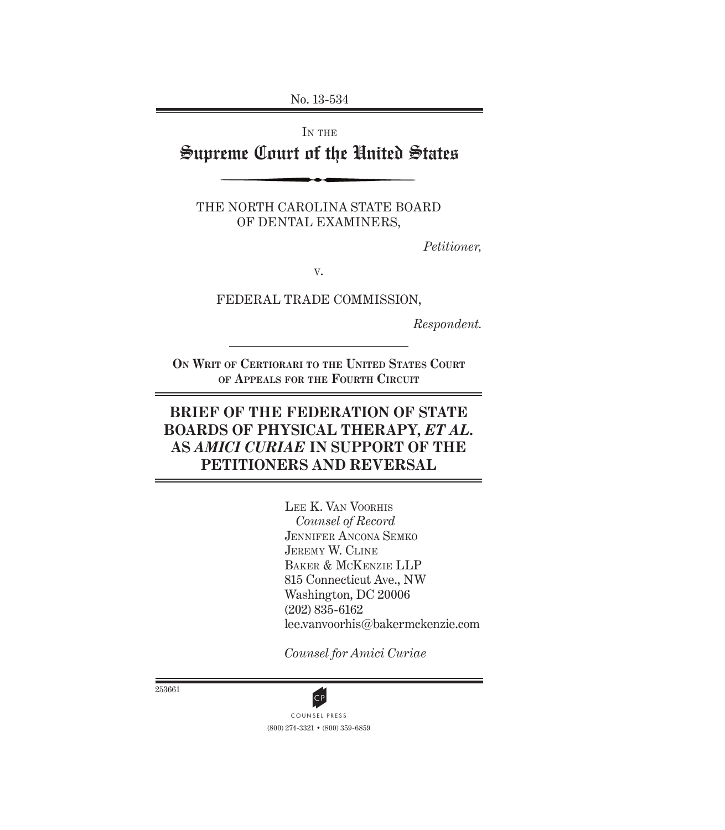No. 13-534

IN THE

# Supreme Court of the United States

THE NORTH CAROLINA STATE BOARD OF DENTAL EXAMINERS,

*Petitioner,*

V.

FEDERAL TRADE COMMISSION,

*Respondent.*

**ON WRIT OF CERTIORARI TO THE UNITED STATES COURT OF APPEALS FOR THE FOURTH CIRCUIT**

## **BRIEF OF THE FEDERATION OF STATE BOARDS OF PHYSICAL THERAPY,** *ET AL.* **AS** *AMICI CURIAE* **IN SUPPORT OF THE PETITIONERS AND REVERSAL**

LEE K. VAN VOORHIS *Counsel of Record* JENNIFER ANCONA SEMKO JEREMY W. CLINE BAKER & MCKENZIE LLP 815 Connecticut Ave., NW Washington, DC 20006 (202) 835-6162 lee.vanvoorhis@bakermckenzie.com

*Counsel for Amici Curiae*

253661



(800) 274-3321 • (800) 359-6859 **CP**<br>COUNSEL PRESS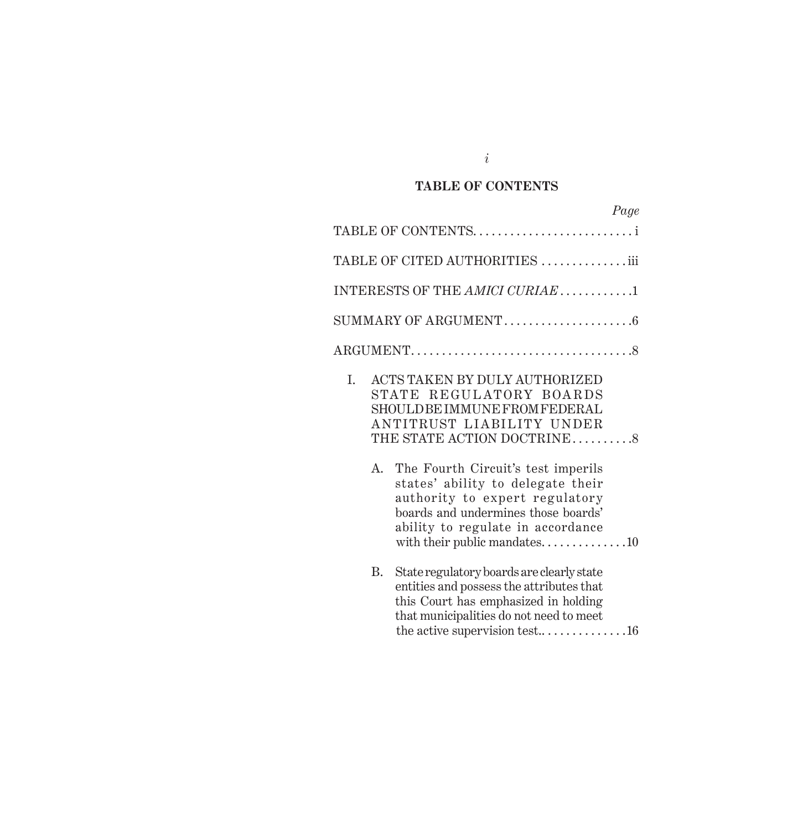### **TABLE OF CONTENTS**

|             | Page                                                                                                                                                                                                                  |
|-------------|-----------------------------------------------------------------------------------------------------------------------------------------------------------------------------------------------------------------------|
|             | TABLE OF CONTENTS                                                                                                                                                                                                     |
|             | TABLE OF CITED AUTHORITIES iii                                                                                                                                                                                        |
|             | INTERESTS OF THE AMICI CURIAE1                                                                                                                                                                                        |
|             |                                                                                                                                                                                                                       |
|             |                                                                                                                                                                                                                       |
| I.          | ACTS TAKEN BY DULY AUTHORIZED<br>STATE REGULATORY BOARDS<br>SHOULD BE IMMUNE FROM FEDERAL<br>ANTITRUST LIABILITY UNDER<br>THE STATE ACTION DOCTRINE8                                                                  |
| $A_{\cdot}$ | The Fourth Circuit's test imperils<br>states' ability to delegate their<br>authority to expert regulatory<br>boards and undermines those boards'<br>ability to regulate in accordance<br>with their public mandates10 |
| В.          | State regulatory boards are clearly state<br>entities and possess the attributes that<br>this Court has emphasized in holding<br>that municipalities do not need to meet<br>the active supervision test16             |

*i*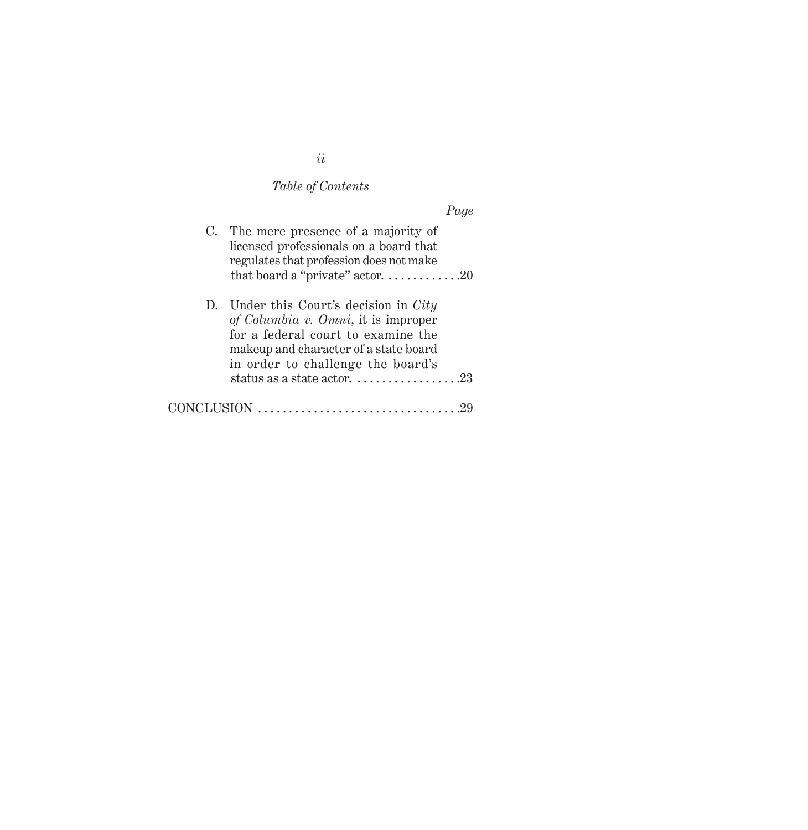# *Table of Contents*

| C. The mere presence of a majority of<br>licensed professionals on a board that<br>regulates that profession does not make<br>that board a "private" actor. $\dots \dots \dots \dots 20$            |
|-----------------------------------------------------------------------------------------------------------------------------------------------------------------------------------------------------|
| D. Under this Court's decision in $City$<br>of Columbia v. Omni, it is improper<br>for a federal court to examine the<br>makeup and character of a state board<br>in order to challenge the board's |
|                                                                                                                                                                                                     |
|                                                                                                                                                                                                     |

*ii*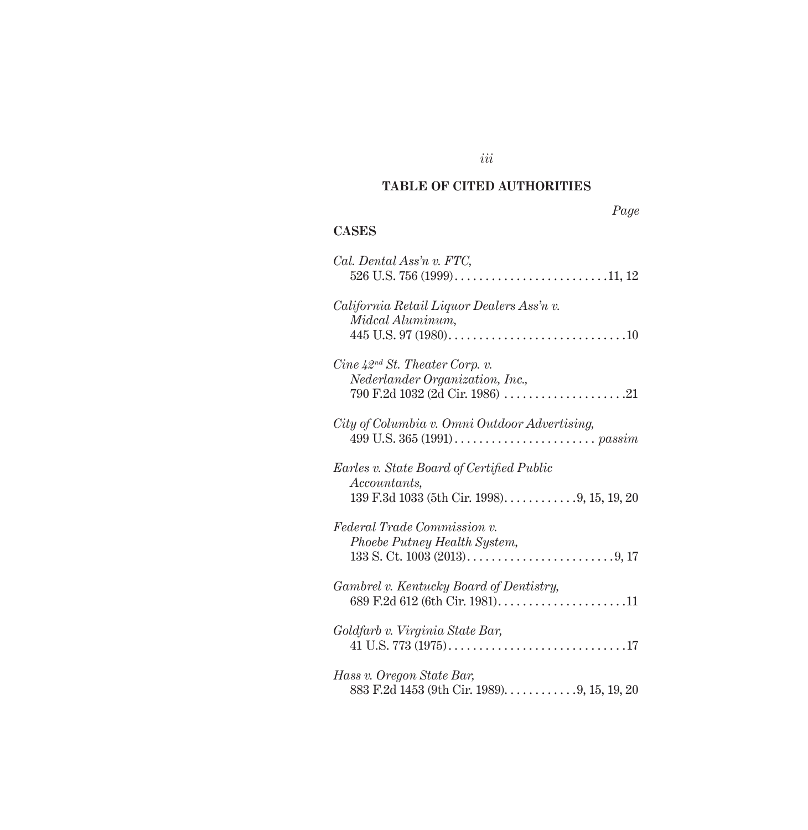## **TABLE OF CITED AUTHORITIES**

## **CASES**

| Cal. Dental Ass'n v. FTC,                       |
|-------------------------------------------------|
|                                                 |
| California Retail Liquor Dealers Ass'n v.       |
| Midcal Aluminum,                                |
|                                                 |
| $Cine\ \lambda 2^{nd}\ St.\ Theater\ Corp.\ v.$ |
| Nederlander Organization, Inc.,                 |
|                                                 |
| City of Columbia v. Omni Outdoor Advertising,   |
|                                                 |
| Earles v. State Board of Certified Public       |
| Accountants,                                    |
| 139 F.3d 1033 (5th Cir. 1998). 9, 15, 19, 20    |
| Federal Trade Commission v.                     |
| Phoebe Putney Health System,                    |
|                                                 |
| Gambrel v. Kentucky Board of Dentistry,         |
|                                                 |
| Goldfarb v. Virginia State Bar,                 |
|                                                 |
| Hass v. Oregon State Bar,                       |
| 883 F.2d 1453 (9th Cir. 1989). 9, 15, 19, 20    |

*iii*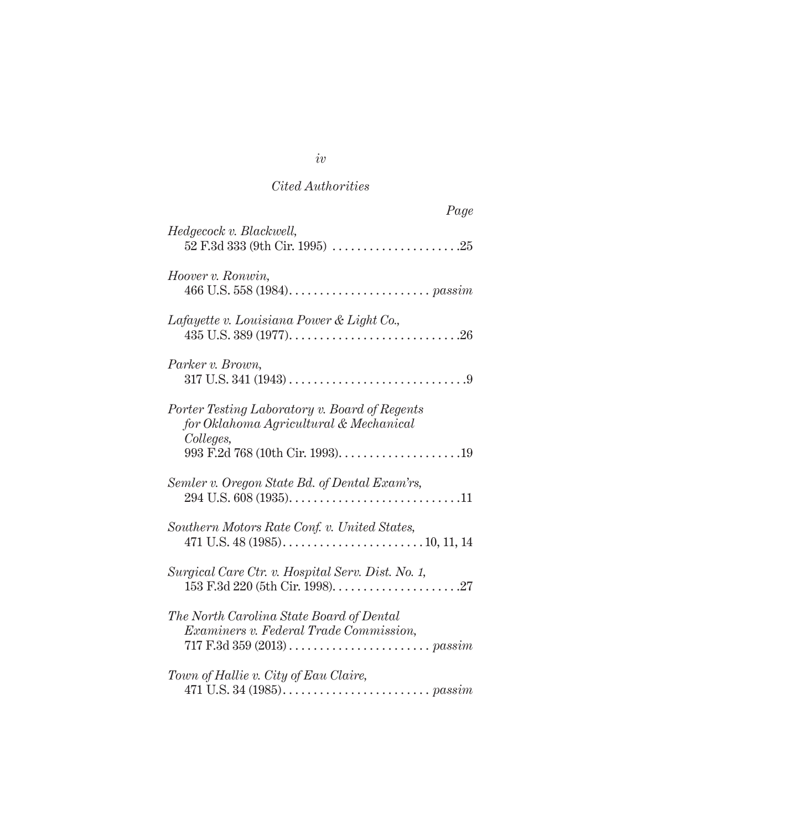## *Cited Authorities*

| Page                                                                                                                                                                |
|---------------------------------------------------------------------------------------------------------------------------------------------------------------------|
| Hedgecock v. Blackwell,                                                                                                                                             |
| Hoover v. Ronwin,                                                                                                                                                   |
| Lafayette v. Louisiana Power & Light Co.,                                                                                                                           |
| Parker v. Brown,                                                                                                                                                    |
| Porter Testing Laboratory v. Board of Regents<br>for Oklahoma Agricultural & Mechanical<br>Colleges,                                                                |
| Semler v. Oregon State Bd. of Dental Exam'rs,                                                                                                                       |
| Southern Motors Rate Conf. v. United States,                                                                                                                        |
| Surgical Care Ctr. v. Hospital Serv. Dist. No. 1,                                                                                                                   |
| The North Carolina State Board of Dental<br>Examiners v. Federal Trade Commission,<br>717 F.3d 359 (2013) $\ldots \ldots \ldots \ldots \ldots \ldots \ldots$ passim |
| Town of Hallie v. City of Eau Claire,                                                                                                                               |

*iv*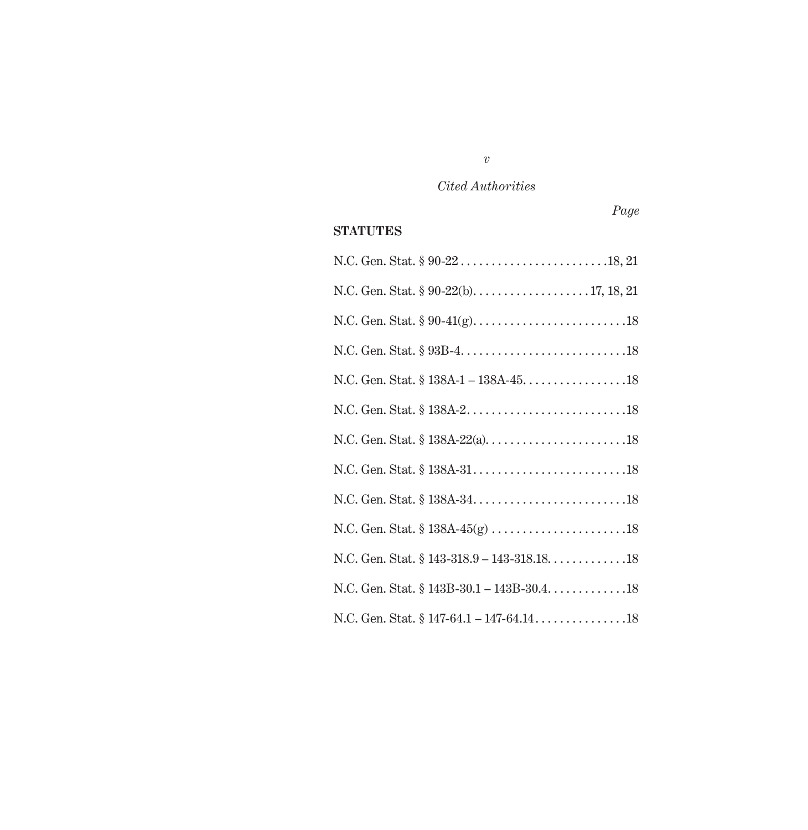## *Cited Authorities*

### **STATUTES**

| N.C. Gen. Stat. $$143-318.9-143-318.18$ 18  |
|---------------------------------------------|
| N.C. Gen. Stat. § 143B-30.1 - 143B-30.4. 18 |
|                                             |

*v*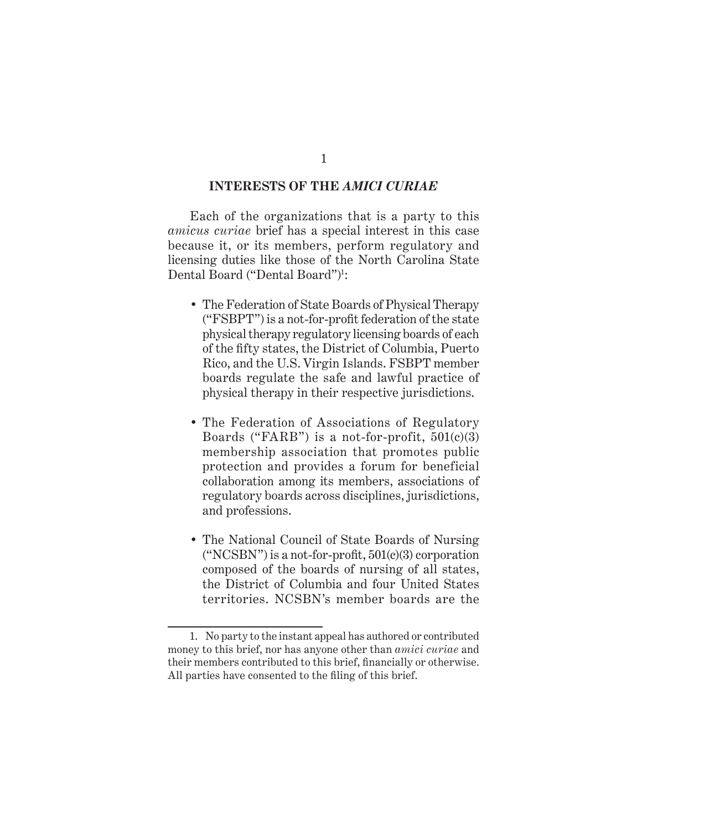#### **INTERESTS OF THE** *AMICI CURIAE*

Each of the organizations that is a party to this *amicus curiae* brief has a special interest in this case because it, or its members, perform regulatory and licensing duties like those of the North Carolina State Dental Board ("Dental Board")1 :

- The Federation of State Boards of Physical Therapy  $("FSBPT")$  is a not-for-profit federation of the state physical therapy regulatory licensing boards of each of the fifty states, the District of Columbia, Puerto Rico, and the U.S. Virgin Islands. FSBPT member boards regulate the safe and lawful practice of physical therapy in their respective jurisdictions.
- The Federation of Associations of Regulatory Boards ("FARB") is a not-for-profit,  $501(c)(3)$ membership association that promotes public protection and provides a forum for beneficial collaboration among its members, associations of regulatory boards across disciplines, jurisdictions, and professions.
- The National Council of State Boards of Nursing  $("NCSBN")$  is a not-for-profit,  $501(c)(3)$  corporation composed of the boards of nursing of all states, the District of Columbia and four United States territories. NCSBN's member boards are the

<sup>1.</sup> No party to the instant appeal has authored or contributed money to this brief, nor has anyone other than *amici curiae* and their members contributed to this brief, financially or otherwise. All parties have consented to the filing of this brief.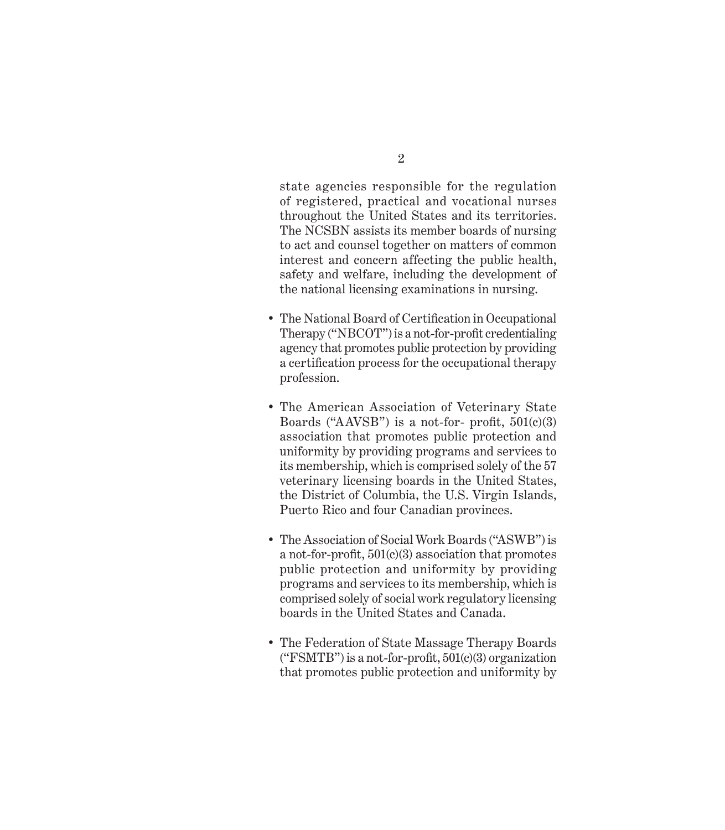state agencies responsible for the regulation of registered, practical and vocational nurses throughout the United States and its territories. The NCSBN assists its member boards of nursing to act and counsel together on matters of common interest and concern affecting the public health, safety and welfare, including the development of the national licensing examinations in nursing.

- The National Board of Certification in Occupational Therapy ("NBCOT") is a not-for-profit credentialing agency that promotes public protection by providing a certification process for the occupational therapy profession.
- The American Association of Veterinary State Boards ("AAVSB") is a not-for- profit,  $501(c)(3)$ association that promotes public protection and uniformity by providing programs and services to its membership, which is comprised solely of the 57 veterinary licensing boards in the United States, the District of Columbia, the U.S. Virgin Islands, Puerto Rico and four Canadian provinces.
- The Association of Social Work Boards ("ASWB") is a not-for-profit,  $501(c)(3)$  association that promotes public protection and uniformity by providing programs and services to its membership, which is comprised solely of social work regulatory licensing boards in the United States and Canada.
- The Federation of State Massage Therapy Boards ("FSMTB") is a not-for-profit,  $501(c)(3)$  organization that promotes public protection and uniformity by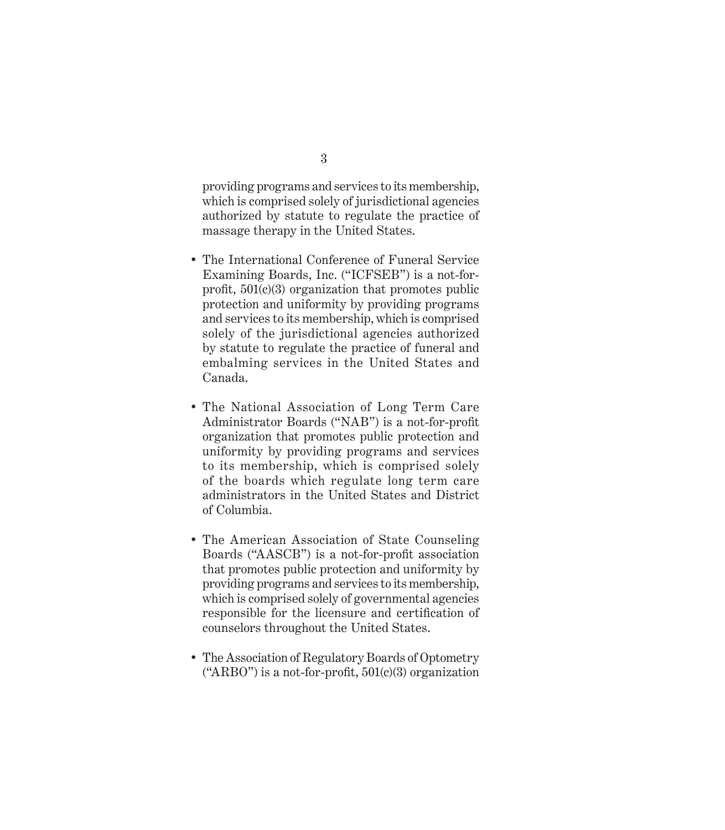providing programs and services to its membership, which is comprised solely of jurisdictional agencies authorized by statute to regulate the practice of massage therapy in the United States.

- The International Conference of Funeral Service Examining Boards, Inc. ("ICFSEB") is a not-forprofit,  $501(c)(3)$  organization that promotes public protection and uniformity by providing programs and services to its membership, which is comprised solely of the jurisdictional agencies authorized by statute to regulate the practice of funeral and embalming services in the United States and Canada.
- The National Association of Long Term Care Administrator Boards ("NAB") is a not-for-profit organization that promotes public protection and uniformity by providing programs and services to its membership, which is comprised solely of the boards which regulate long term care administrators in the United States and District of Columbia.
- The American Association of State Counseling Boards ("AASCB") is a not-for-profit association that promotes public protection and uniformity by providing programs and services to its membership, which is comprised solely of governmental agencies responsible for the licensure and certification of counselors throughout the United States.
- The Association of Regulatory Boards of Optometry ("ARBO") is a not-for-profit,  $501(c)(3)$  organization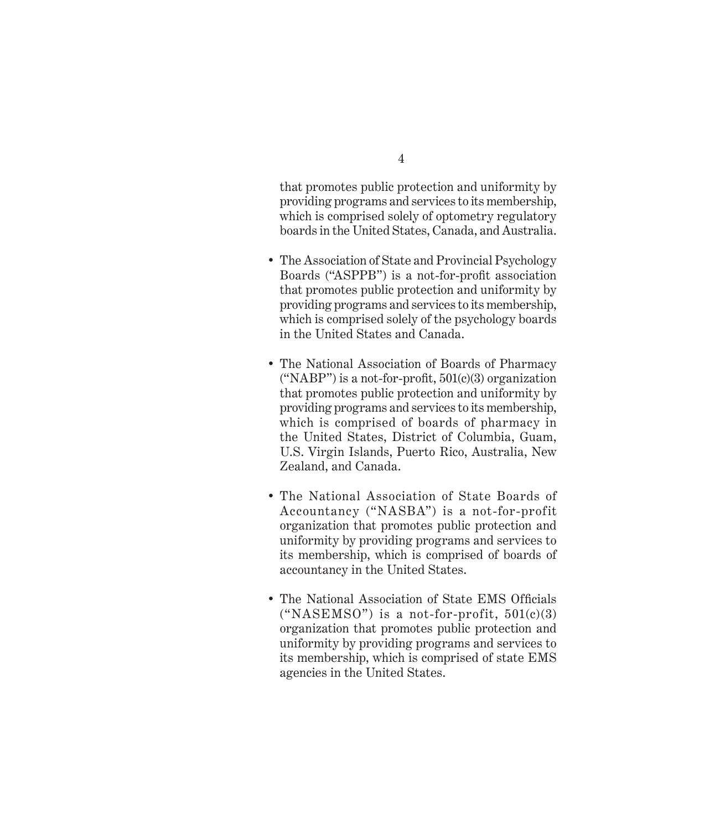that promotes public protection and uniformity by providing programs and services to its membership, which is comprised solely of optometry regulatory boards in the United States, Canada, and Australia.

- The Association of State and Provincial Psychology Boards ("ASPPB") is a not-for-profit association that promotes public protection and uniformity by providing programs and services to its membership, which is comprised solely of the psychology boards in the United States and Canada.
- The National Association of Boards of Pharmacy ("NABP") is a not-for-profit,  $501(c)(3)$  organization that promotes public protection and uniformity by providing programs and services to its membership, which is comprised of boards of pharmacy in the United States, District of Columbia, Guam, U.S. Virgin Islands, Puerto Rico, Australia, New Zealand, and Canada.
- The National Association of State Boards of Accountancy ("NASBA") is a not-for-profit organization that promotes public protection and uniformity by providing programs and services to its membership, which is comprised of boards of accountancy in the United States.
- The National Association of State EMS Officials ("NASEMSO") is a not-for-profit,  $501(c)(3)$ organization that promotes public protection and uniformity by providing programs and services to its membership, which is comprised of state EMS agencies in the United States.

4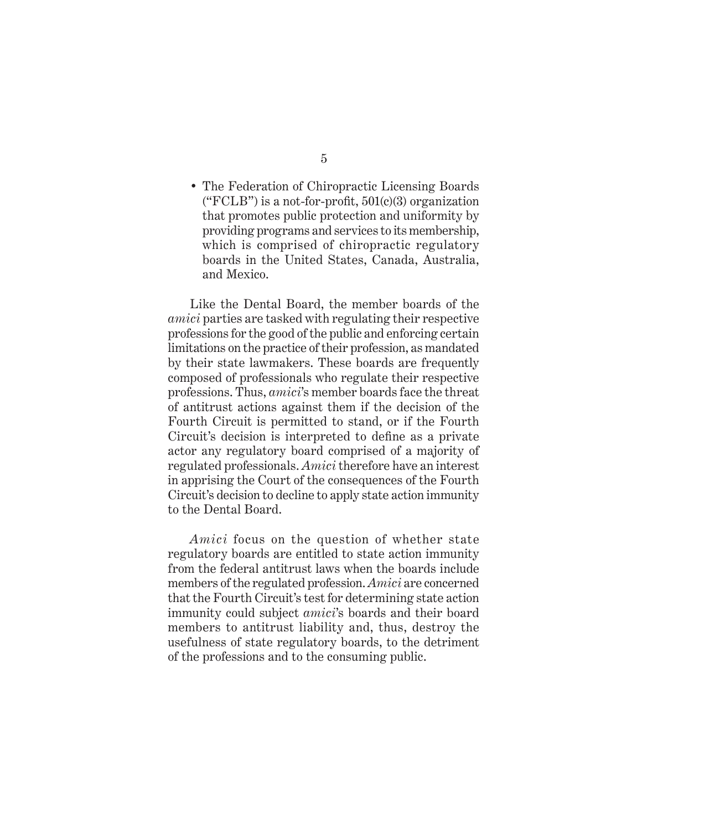• The Federation of Chiropractic Licensing Boards ("FCLB") is a not-for-profit,  $501(c)(3)$  organization that promotes public protection and uniformity by providing programs and services to its membership, which is comprised of chiropractic regulatory boards in the United States, Canada, Australia, and Mexico.

Like the Dental Board, the member boards of the *amici* parties are tasked with regulating their respective professions for the good of the public and enforcing certain limitations on the practice of their profession, as mandated by their state lawmakers. These boards are frequently composed of professionals who regulate their respective professions. Thus, *amici*'s member boards face the threat of antitrust actions against them if the decision of the Fourth Circuit is permitted to stand, or if the Fourth Circuit's decision is interpreted to define as a private actor any regulatory board comprised of a majority of regulated professionals. *Amici* therefore have an interest in apprising the Court of the consequences of the Fourth Circuit's decision to decline to apply state action immunity to the Dental Board.

*Amici* focus on the question of whether state regulatory boards are entitled to state action immunity from the federal antitrust laws when the boards include members of the regulated profession. *Amici* are concerned that the Fourth Circuit's test for determining state action immunity could subject *amici*'s boards and their board members to antitrust liability and, thus, destroy the usefulness of state regulatory boards, to the detriment of the professions and to the consuming public.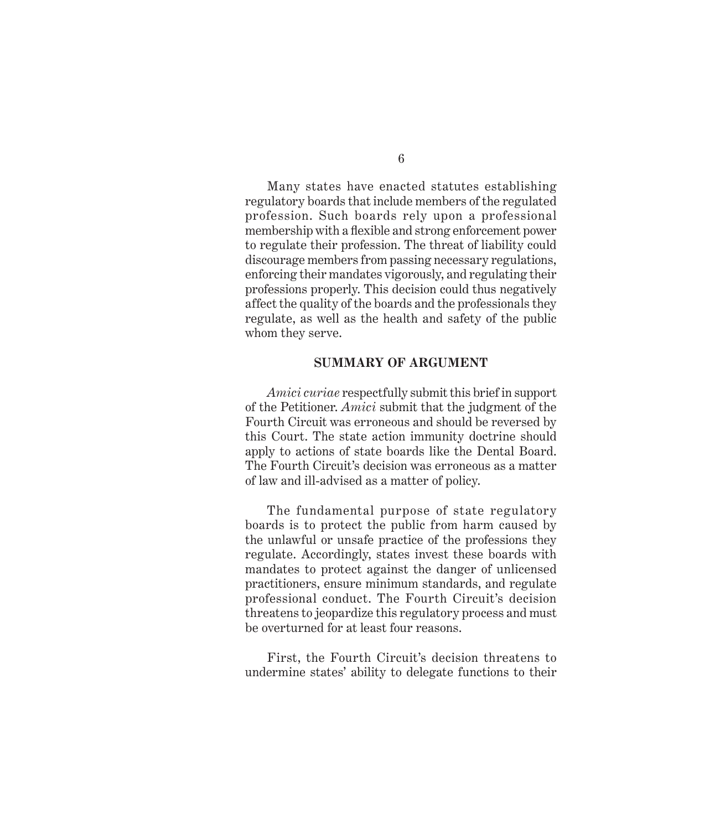6

Many states have enacted statutes establishing regulatory boards that include members of the regulated profession. Such boards rely upon a professional membership with a flexible and strong enforcement power to regulate their profession. The threat of liability could discourage members from passing necessary regulations, enforcing their mandates vigorously, and regulating their professions properly. This decision could thus negatively affect the quality of the boards and the professionals they regulate, as well as the health and safety of the public whom they serve.

#### **SUMMARY OF ARGUMENT**

*Amici curiae* respectfully submit this brief in support of the Petitioner. *Amici* submit that the judgment of the Fourth Circuit was erroneous and should be reversed by this Court. The state action immunity doctrine should apply to actions of state boards like the Dental Board. The Fourth Circuit's decision was erroneous as a matter of law and ill-advised as a matter of policy.

The fundamental purpose of state regulatory boards is to protect the public from harm caused by the unlawful or unsafe practice of the professions they regulate. Accordingly, states invest these boards with mandates to protect against the danger of unlicensed practitioners, ensure minimum standards, and regulate professional conduct. The Fourth Circuit's decision threatens to jeopardize this regulatory process and must be overturned for at least four reasons.

First, the Fourth Circuit's decision threatens to undermine states' ability to delegate functions to their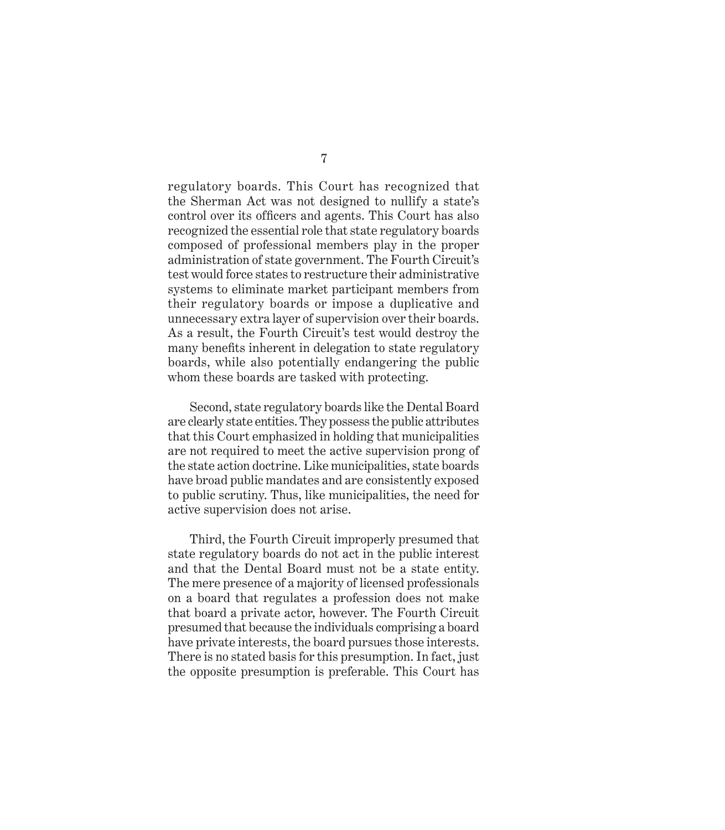regulatory boards. This Court has recognized that the Sherman Act was not designed to nullify a state's control over its officers and agents. This Court has also recognized the essential role that state regulatory boards composed of professional members play in the proper administration of state government. The Fourth Circuit's test would force states to restructure their administrative systems to eliminate market participant members from their regulatory boards or impose a duplicative and unnecessary extra layer of supervision over their boards. As a result, the Fourth Circuit's test would destroy the many benefits inherent in delegation to state regulatory boards, while also potentially endangering the public whom these boards are tasked with protecting.

Second, state regulatory boards like the Dental Board are clearly state entities. They possess the public attributes that this Court emphasized in holding that municipalities are not required to meet the active supervision prong of the state action doctrine. Like municipalities, state boards have broad public mandates and are consistently exposed to public scrutiny. Thus, like municipalities, the need for active supervision does not arise.

Third, the Fourth Circuit improperly presumed that state regulatory boards do not act in the public interest and that the Dental Board must not be a state entity. The mere presence of a majority of licensed professionals on a board that regulates a profession does not make that board a private actor, however. The Fourth Circuit presumed that because the individuals comprising a board have private interests, the board pursues those interests. There is no stated basis for this presumption. In fact, just the opposite presumption is preferable. This Court has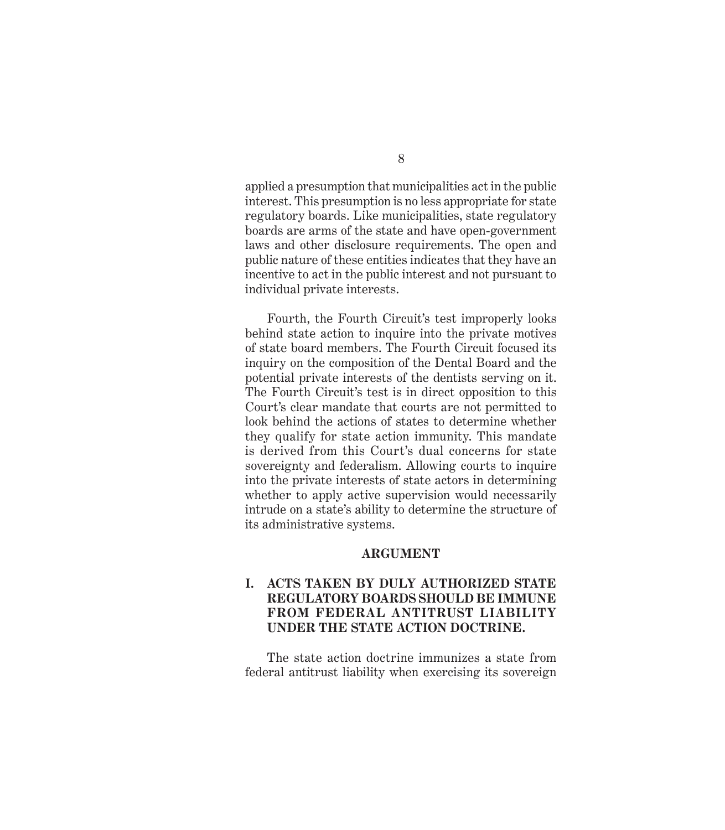applied a presumption that municipalities act in the public interest. This presumption is no less appropriate for state regulatory boards. Like municipalities, state regulatory boards are arms of the state and have open-government laws and other disclosure requirements. The open and public nature of these entities indicates that they have an incentive to act in the public interest and not pursuant to individual private interests.

Fourth, the Fourth Circuit's test improperly looks behind state action to inquire into the private motives of state board members. The Fourth Circuit focused its inquiry on the composition of the Dental Board and the potential private interests of the dentists serving on it. The Fourth Circuit's test is in direct opposition to this Court's clear mandate that courts are not permitted to look behind the actions of states to determine whether they qualify for state action immunity. This mandate is derived from this Court's dual concerns for state sovereignty and federalism. Allowing courts to inquire into the private interests of state actors in determining whether to apply active supervision would necessarily intrude on a state's ability to determine the structure of its administrative systems.

#### **ARGUMENT**

#### **I. ACTS TAKEN BY DULY AUTHORIZED STATE REGULATORY BOARDS SHOULD BE IMMUNE FROM FEDERAL ANTITRUST LIABILITY UNDER THE STATE ACTION DOCTRINE.**

The state action doctrine immunizes a state from federal antitrust liability when exercising its sovereign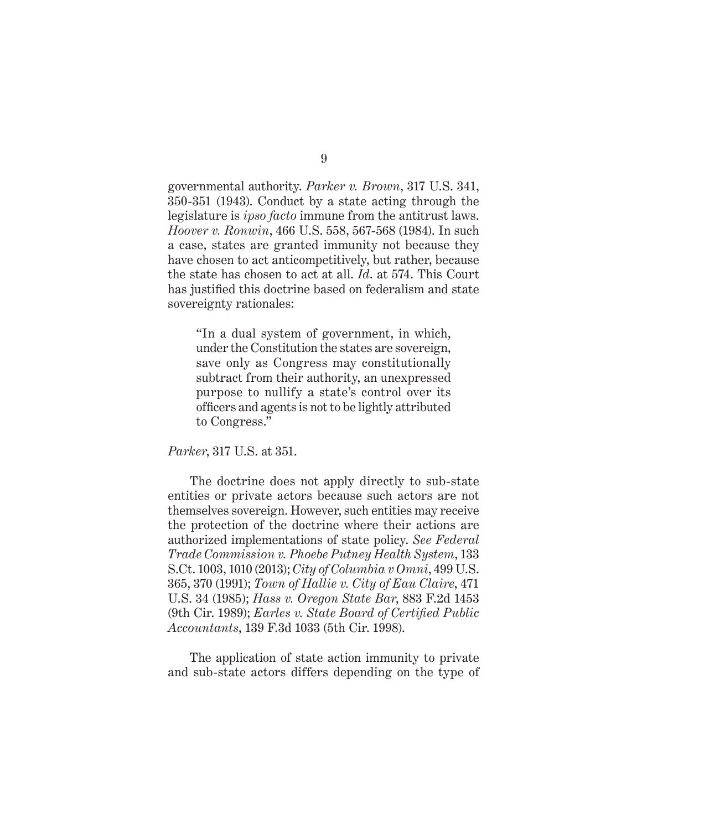governmental authority. *Parker v. Brown*, 317 U.S. 341, 350-351 (1943). Conduct by a state acting through the legislature is *ipso facto* immune from the antitrust laws. *Hoover v. Ronwin*, 466 U.S. 558, 567-568 (1984). In such a case, states are granted immunity not because they have chosen to act anticompetitively, but rather, because the state has chosen to act at all. *Id*. at 574. This Court has justified this doctrine based on federalism and state sovereignty rationales:

"In a dual system of government, in which, under the Constitution the states are sovereign, save only as Congress may constitutionally subtract from their authority, an unexpressed purpose to nullify a state's control over its officers and agents is not to be lightly attributed to Congress."

 *Parker*, 317 U.S. at 351.

The doctrine does not apply directly to sub-state entities or private actors because such actors are not themselves sovereign. However, such entities may receive the protection of the doctrine where their actions are authorized implementations of state policy. *See Federal Trade Commission v. Phoebe Putney Health System*, 133 S.Ct. 1003, 1010 (2013); *City of Columbia v Omni*, 499 U.S. 365, 370 (1991); *Town of Hallie v. City of Eau Claire*, 471 U.S. 34 (1985); *Hass v. Oregon State Bar*, 883 F.2d 1453 (9th Cir. 1989); *Earles v. State Board of Certified Public Accountants*, 139 F.3d 1033 (5th Cir. 1998).

The application of state action immunity to private and sub-state actors differs depending on the type of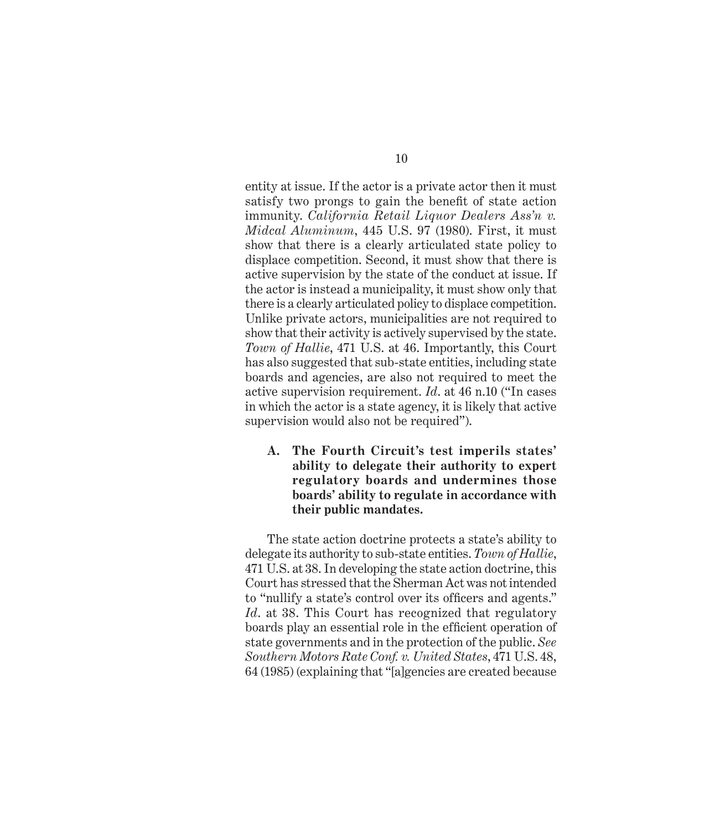entity at issue. If the actor is a private actor then it must satisfy two prongs to gain the benefit of state action immunity. *California Retail Liquor Dealers Ass'n v. Midcal Aluminum*, 445 U.S. 97 (1980). First, it must show that there is a clearly articulated state policy to displace competition. Second, it must show that there is active supervision by the state of the conduct at issue. If the actor is instead a municipality, it must show only that there is a clearly articulated policy to displace competition. Unlike private actors, municipalities are not required to show that their activity is actively supervised by the state. *Town of Hallie*, 471 U.S. at 46. Importantly, this Court has also suggested that sub-state entities, including state boards and agencies, are also not required to meet the active supervision requirement. *Id*. at 46 n.10 ("In cases in which the actor is a state agency, it is likely that active supervision would also not be required").

**A. The Fourth Circuit's test imperils states' ability to delegate their authority to expert regulatory boards and undermines those boards' ability to regulate in accordance with their public mandates.** 

The state action doctrine protects a state's ability to delegate its authority to sub-state entities. *Town of Hallie*, 471 U.S. at 38. In developing the state action doctrine, this Court has stressed that the Sherman Act was not intended to "nullify a state's control over its officers and agents." *Id*. at 38. This Court has recognized that regulatory boards play an essential role in the efficient operation of state governments and in the protection of the public. *See Southern Motors Rate Conf. v. United States*, 471 U.S. 48, 64 (1985) (explaining that "[a]gencies are created because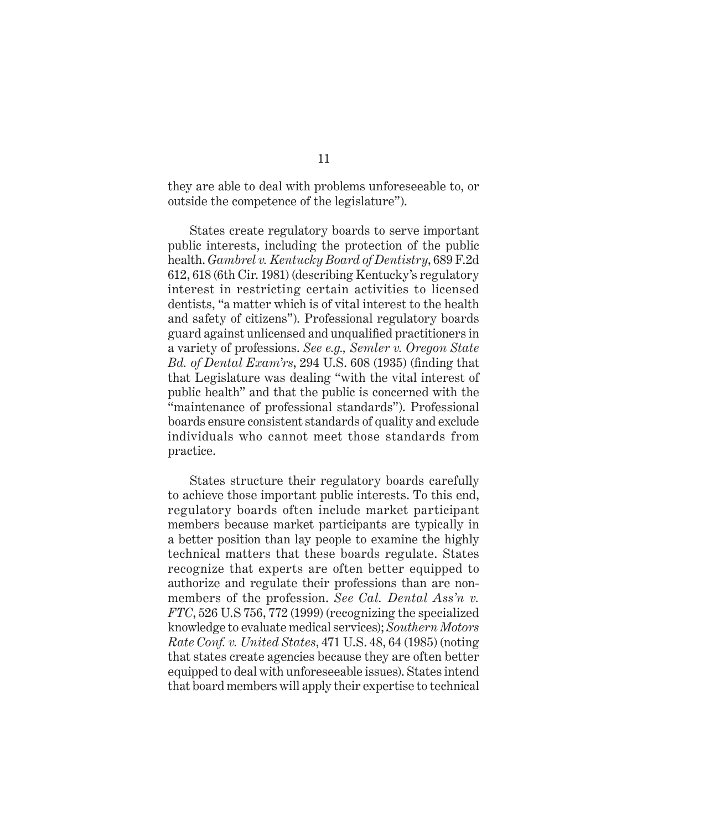they are able to deal with problems unforeseeable to, or outside the competence of the legislature").

States create regulatory boards to serve important public interests, including the protection of the public health. *Gambrel v. Kentucky Board of Dentistry*, 689 F.2d 612, 618 (6th Cir. 1981) (describing Kentucky's regulatory interest in restricting certain activities to licensed dentists, "a matter which is of vital interest to the health and safety of citizens"). Professional regulatory boards guard against unlicensed and unqualified practitioners in a variety of professions. *See e.g., Semler v. Oregon State Bd. of Dental Exam'rs*, 294 U.S. 608 (1935) (finding that that Legislature was dealing "with the vital interest of public health" and that the public is concerned with the "maintenance of professional standards"). Professional boards ensure consistent standards of quality and exclude individuals who cannot meet those standards from practice.

States structure their regulatory boards carefully to achieve those important public interests. To this end, regulatory boards often include market participant members because market participants are typically in a better position than lay people to examine the highly technical matters that these boards regulate. States recognize that experts are often better equipped to authorize and regulate their professions than are nonmembers of the profession. *See Cal. Dental Ass'n v. FTC*, 526 U.S 756, 772 (1999) (recognizing the specialized knowledge to evaluate medical services); *Southern Motors Rate Conf. v. United States*, 471 U.S. 48, 64 (1985) (noting that states create agencies because they are often better equipped to deal with unforeseeable issues). States intend that board members will apply their expertise to technical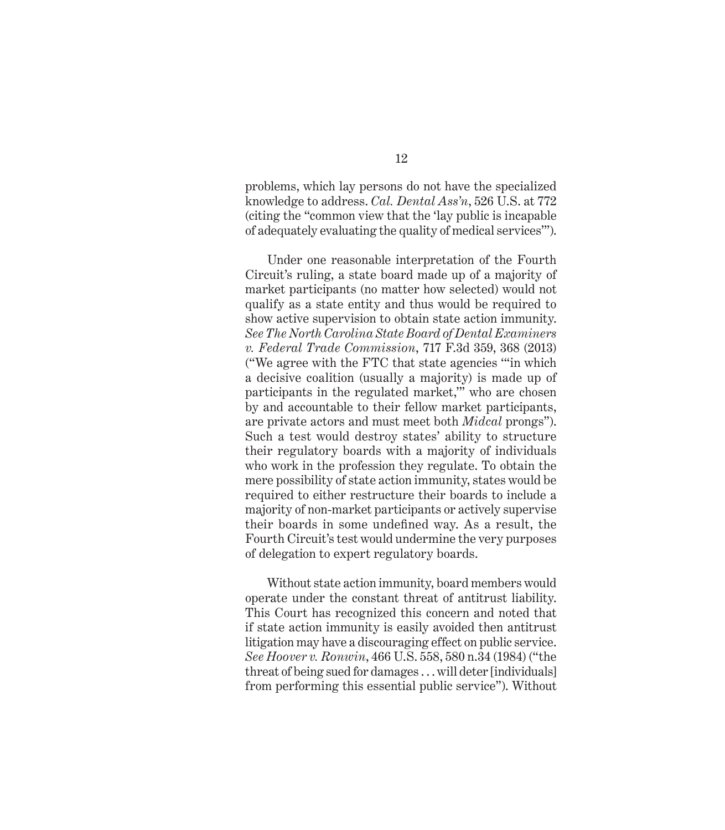problems, which lay persons do not have the specialized knowledge to address. *Cal. Dental Ass'n*, 526 U.S. at 772 (citing the "common view that the 'lay public is incapable of adequately evaluating the quality of medical services'").

Under one reasonable interpretation of the Fourth Circuit's ruling, a state board made up of a majority of market participants (no matter how selected) would not qualify as a state entity and thus would be required to show active supervision to obtain state action immunity. *See The North Carolina State Board of Dental Examiners v. Federal Trade Commission*, 717 F.3d 359, 368 (2013) ("We agree with the FTC that state agencies '"in which a decisive coalition (usually a majority) is made up of participants in the regulated market," who are chosen by and accountable to their fellow market participants, are private actors and must meet both *Midcal* prongs"). Such a test would destroy states' ability to structure their regulatory boards with a majority of individuals who work in the profession they regulate. To obtain the mere possibility of state action immunity, states would be required to either restructure their boards to include a majority of non-market participants or actively supervise their boards in some undefined way. As a result, the Fourth Circuit's test would undermine the very purposes of delegation to expert regulatory boards.

Without state action immunity, board members would operate under the constant threat of antitrust liability. This Court has recognized this concern and noted that if state action immunity is easily avoided then antitrust litigation may have a discouraging effect on public service. *See Hoover v. Ronwin*, 466 U.S. 558, 580 n.34 (1984) ("the threat of being sued for damages . . . will deter [individuals] from performing this essential public service"). Without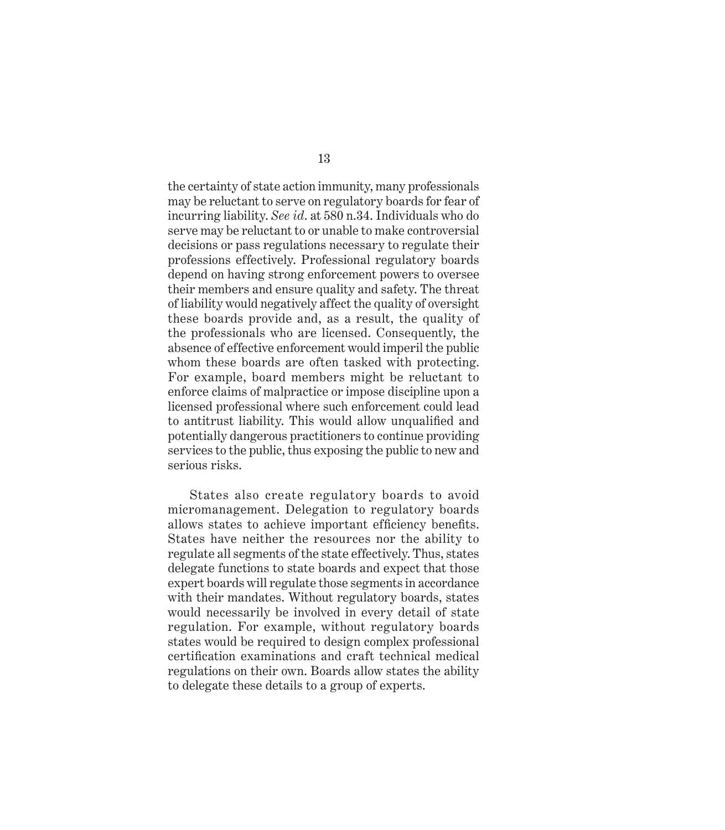the certainty of state action immunity, many professionals may be reluctant to serve on regulatory boards for fear of incurring liability. *See id*. at 580 n.34. Individuals who do serve may be reluctant to or unable to make controversial decisions or pass regulations necessary to regulate their professions effectively. Professional regulatory boards depend on having strong enforcement powers to oversee their members and ensure quality and safety. The threat of liability would negatively affect the quality of oversight these boards provide and, as a result, the quality of the professionals who are licensed. Consequently, the absence of effective enforcement would imperil the public whom these boards are often tasked with protecting. For example, board members might be reluctant to enforce claims of malpractice or impose discipline upon a licensed professional where such enforcement could lead to antitrust liability. This would allow unqualified and potentially dangerous practitioners to continue providing services to the public, thus exposing the public to new and serious risks.

States also create regulatory boards to avoid micromanagement. Delegation to regulatory boards allows states to achieve important efficiency benefits. States have neither the resources nor the ability to regulate all segments of the state effectively. Thus, states delegate functions to state boards and expect that those expert boards will regulate those segments in accordance with their mandates. Without regulatory boards, states would necessarily be involved in every detail of state regulation. For example, without regulatory boards states would be required to design complex professional certification examinations and craft technical medical regulations on their own. Boards allow states the ability to delegate these details to a group of experts.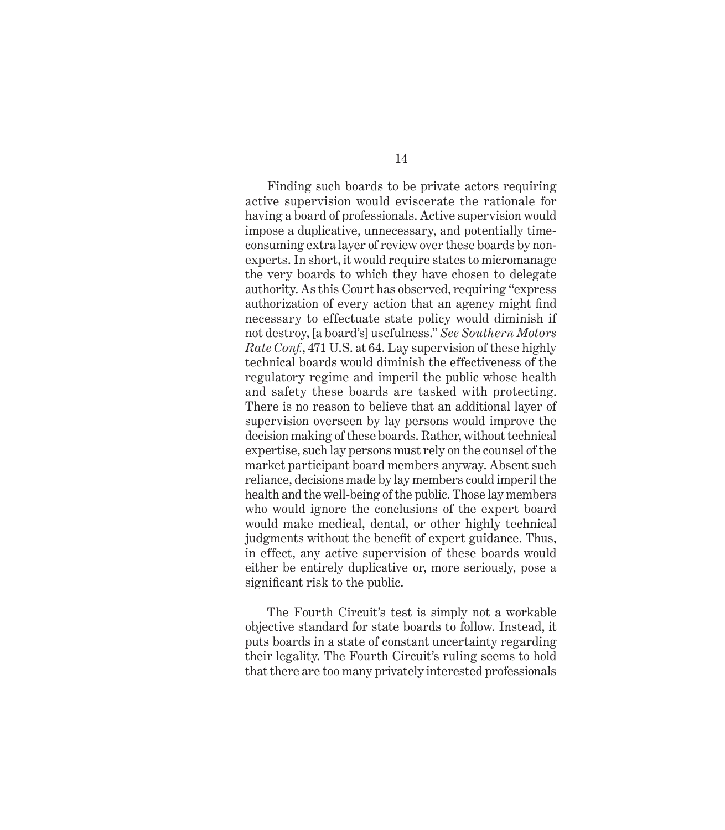Finding such boards to be private actors requiring active supervision would eviscerate the rationale for having a board of professionals. Active supervision would impose a duplicative, unnecessary, and potentially timeconsuming extra layer of review over these boards by nonexperts. In short, it would require states to micromanage the very boards to which they have chosen to delegate authority. As this Court has observed, requiring "express authorization of every action that an agency might find necessary to effectuate state policy would diminish if not destroy, [a board's] usefulness." *See Southern Motors Rate Conf.*, 471 U.S. at 64. Lay supervision of these highly technical boards would diminish the effectiveness of the regulatory regime and imperil the public whose health and safety these boards are tasked with protecting. There is no reason to believe that an additional layer of supervision overseen by lay persons would improve the decision making of these boards. Rather, without technical expertise, such lay persons must rely on the counsel of the market participant board members anyway. Absent such reliance, decisions made by lay members could imperil the health and the well-being of the public. Those lay members who would ignore the conclusions of the expert board would make medical, dental, or other highly technical judgments without the benefit of expert guidance. Thus, in effect, any active supervision of these boards would either be entirely duplicative or, more seriously, pose a significant risk to the public.

The Fourth Circuit's test is simply not a workable objective standard for state boards to follow. Instead, it puts boards in a state of constant uncertainty regarding their legality. The Fourth Circuit's ruling seems to hold that there are too many privately interested professionals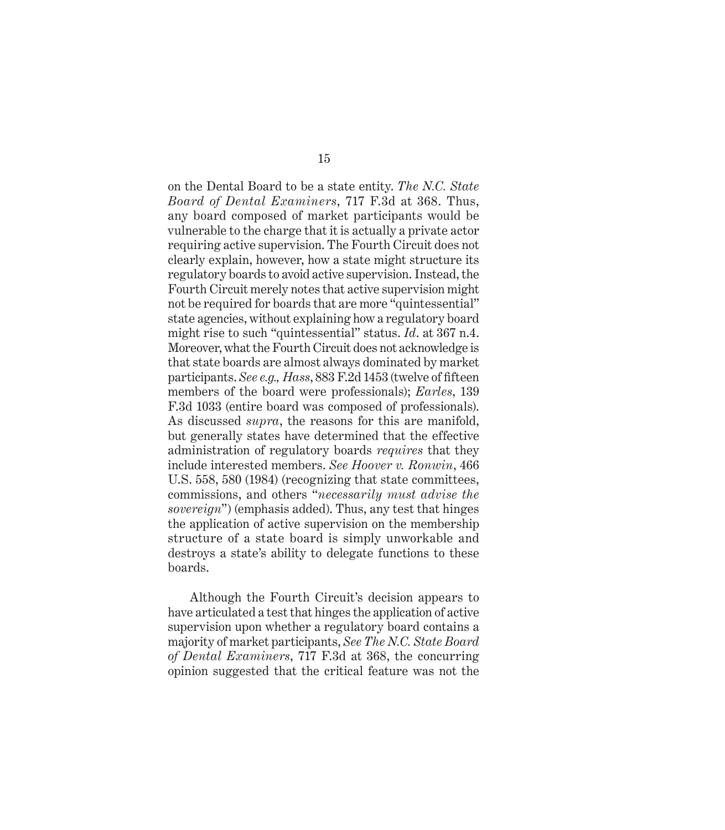on the Dental Board to be a state entity. *The N.C. State Board of Dental Examiners*, 717 F.3d at 368. Thus, any board composed of market participants would be vulnerable to the charge that it is actually a private actor requiring active supervision. The Fourth Circuit does not clearly explain, however, how a state might structure its regulatory boards to avoid active supervision. Instead, the Fourth Circuit merely notes that active supervision might not be required for boards that are more "quintessential" state agencies, without explaining how a regulatory board might rise to such "quintessential" status. *Id*. at 367 n.4. Moreover, what the Fourth Circuit does not acknowledge is that state boards are almost always dominated by market participants. *See e.g., Hass*, 883 F.2d 1453 (twelve of fifteen members of the board were professionals); *Earles*, 139 F.3d 1033 (entire board was composed of professionals). As discussed *supra*, the reasons for this are manifold, but generally states have determined that the effective administration of regulatory boards *requires* that they include interested members. *See Hoover v. Ronwin*, 466 U.S. 558, 580 (1984) (recognizing that state committees, commissions, and others "*necessarily must advise the sovereign*") (emphasis added). Thus, any test that hinges the application of active supervision on the membership structure of a state board is simply unworkable and destroys a state's ability to delegate functions to these boards.

Although the Fourth Circuit's decision appears to have articulated a test that hinges the application of active supervision upon whether a regulatory board contains a majority of market participants, *See The N.C. State Board of Dental Examiners*, 717 F.3d at 368, the concurring opinion suggested that the critical feature was not the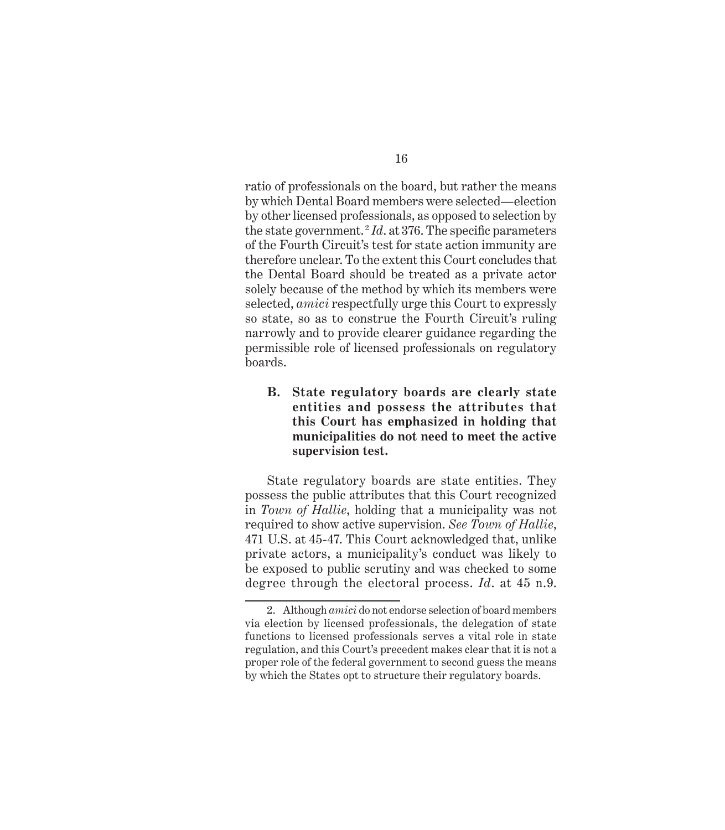ratio of professionals on the board, but rather the means by which Dental Board members were selected—election by other licensed professionals, as opposed to selection by the state government.<sup>2</sup> *Id*. at 376. The specific parameters of the Fourth Circuit's test for state action immunity are therefore unclear. To the extent this Court concludes that the Dental Board should be treated as a private actor solely because of the method by which its members were selected, *amici* respectfully urge this Court to expressly so state, so as to construe the Fourth Circuit's ruling narrowly and to provide clearer guidance regarding the permissible role of licensed professionals on regulatory boards.

**B. State regulatory boards are clearly state entities and possess the attributes that this Court has emphasized in holding that municipalities do not need to meet the active supervision test.**

State regulatory boards are state entities. They possess the public attributes that this Court recognized in *Town of Hallie*, holding that a municipality was not required to show active supervision. *See Town of Hallie*, 471 U.S. at 45-47. This Court acknowledged that, unlike private actors, a municipality's conduct was likely to be exposed to public scrutiny and was checked to some degree through the electoral process. *Id*. at 45 n.9.

<sup>2.</sup> Although *amici* do not endorse selection of board members via election by licensed professionals, the delegation of state functions to licensed professionals serves a vital role in state regulation, and this Court's precedent makes clear that it is not a proper role of the federal government to second guess the means by which the States opt to structure their regulatory boards.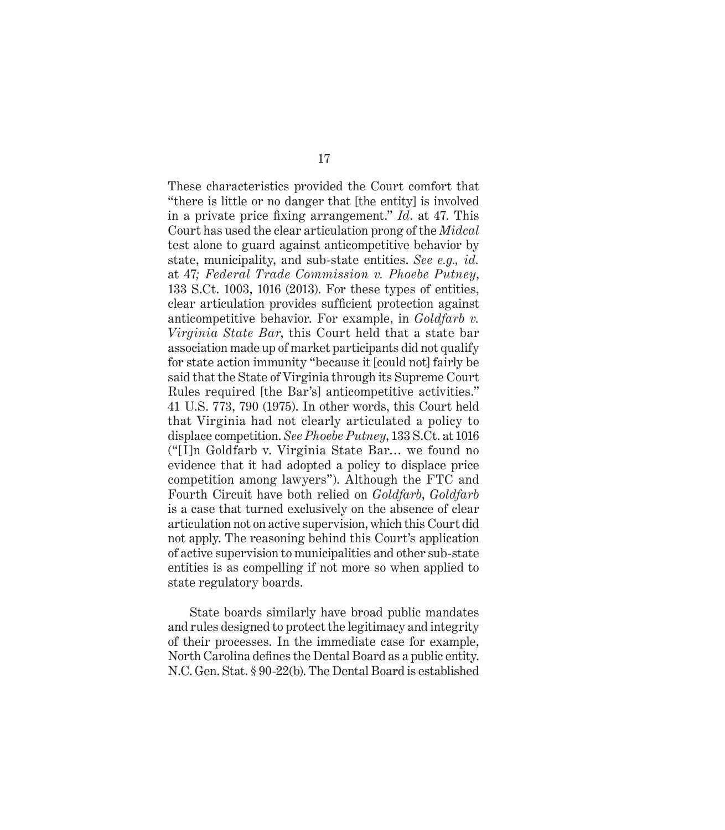These characteristics provided the Court comfort that "there is little or no danger that [the entity] is involved in a private price fixing arrangement." *Id.* at 47. This Court has used the clear articulation prong of the *Midcal* test alone to guard against anticompetitive behavior by state, municipality, and sub-state entities. *See e.g., id.*  at 47*; Federal Trade Commission v. Phoebe Putney*, 133 S.Ct. 1003, 1016 (2013). For these types of entities, clear articulation provides sufficient protection against anticompetitive behavior. For example, in *Goldfarb v. Virginia State Bar*, this Court held that a state bar association made up of market participants did not qualify for state action immunity "because it [could not] fairly be said that the State of Virginia through its Supreme Court Rules required [the Bar's] anticompetitive activities." 41 U.S. 773, 790 (1975). In other words, this Court held that Virginia had not clearly articulated a policy to displace competition. *See Phoebe Putney*, 133 S.Ct. at 1016 ("[I]n Goldfarb v. Virginia State Bar… we found no evidence that it had adopted a policy to displace price competition among lawyers"). Although the FTC and Fourth Circuit have both relied on *Goldfarb*, *Goldfarb* is a case that turned exclusively on the absence of clear articulation not on active supervision, which this Court did not apply. The reasoning behind this Court's application of active supervision to municipalities and other sub-state entities is as compelling if not more so when applied to state regulatory boards.

State boards similarly have broad public mandates and rules designed to protect the legitimacy and integrity of their processes. In the immediate case for example, North Carolina defines the Dental Board as a public entity. N.C. Gen. Stat. § 90-22(b). The Dental Board is established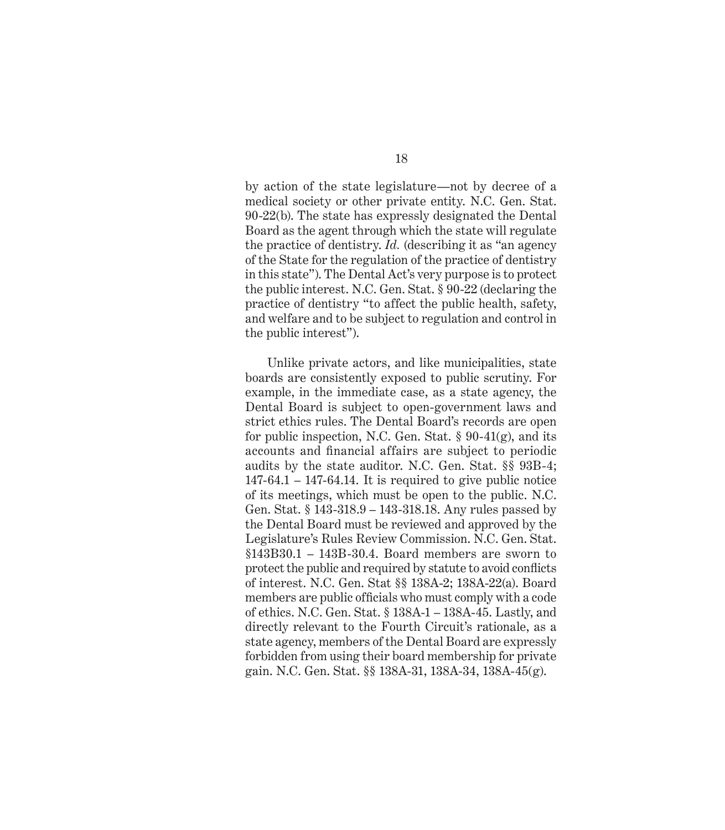by action of the state legislature—not by decree of a medical society or other private entity. N.C. Gen. Stat. 90-22(b). The state has expressly designated the Dental Board as the agent through which the state will regulate the practice of dentistry. *Id.* (describing it as "an agency of the State for the regulation of the practice of dentistry in this state"). The Dental Act's very purpose is to protect the public interest. N.C. Gen. Stat. § 90-22 (declaring the practice of dentistry "to affect the public health, safety, and welfare and to be subject to regulation and control in the public interest").

Unlike private actors, and like municipalities, state boards are consistently exposed to public scrutiny. For example, in the immediate case, as a state agency, the Dental Board is subject to open-government laws and strict ethics rules. The Dental Board's records are open for public inspection, N.C. Gen. Stat. § 90-41(g), and its accounts and financial affairs are subject to periodic audits by the state auditor. N.C. Gen. Stat. §§ 93B-4;  $147-64.1 - 147-64.14$ . It is required to give public notice of its meetings, which must be open to the public. N.C. Gen. Stat. § 143-318.9 – 143-318.18. Any rules passed by the Dental Board must be reviewed and approved by the Legislature's Rules Review Commission. N.C. Gen. Stat. §143B30.1 – 143B-30.4. Board members are sworn to protect the public and required by statute to avoid conflicts of interest. N.C. Gen. Stat §§ 138A-2; 138A-22(a). Board members are public officials who must comply with a code of ethics. N.C. Gen. Stat. § 138A-1 – 138A-45. Lastly, and directly relevant to the Fourth Circuit's rationale, as a state agency, members of the Dental Board are expressly forbidden from using their board membership for private gain. N.C. Gen. Stat. §§ 138A-31, 138A-34, 138A-45(g).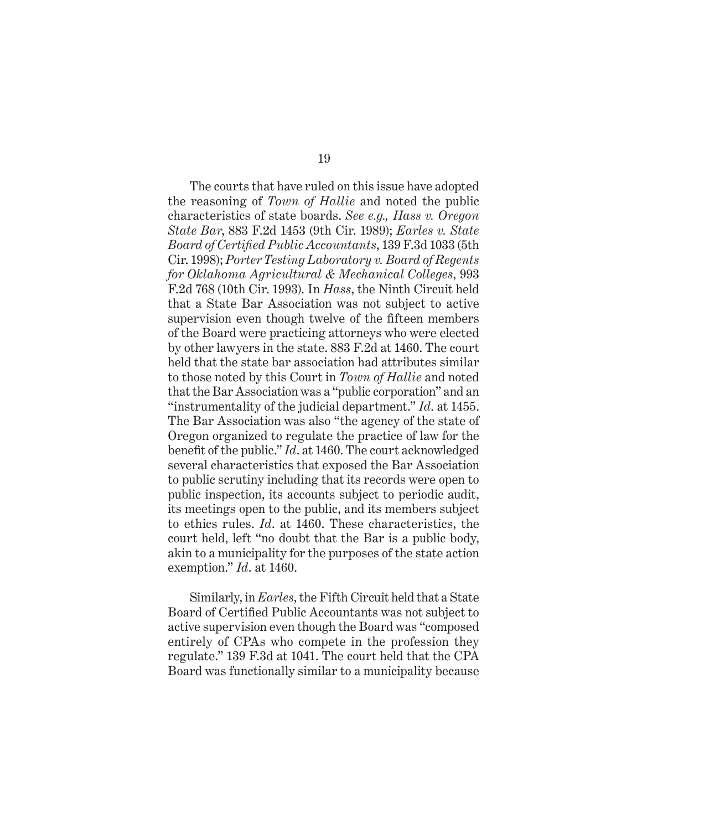The courts that have ruled on this issue have adopted the reasoning of *Town of Hallie* and noted the public characteristics of state boards. *See e.g., Hass v. Oregon State Bar*, 883 F.2d 1453 (9th Cir. 1989); *Earles v. State Board of Certifi ed Public Accountants*, 139 F.3d 1033 (5th Cir. 1998); *Porter Testing Laboratory v. Board of Regents for Oklahoma Agricultural & Mechanical Colleges*, 993 F.2d 768 (10th Cir. 1993). In *Hass*, the Ninth Circuit held that a State Bar Association was not subject to active supervision even though twelve of the fifteen members of the Board were practicing attorneys who were elected by other lawyers in the state. 883 F.2d at 1460. The court held that the state bar association had attributes similar to those noted by this Court in *Town of Hallie* and noted that the Bar Association was a "public corporation" and an "instrumentality of the judicial department." *Id*. at 1455. The Bar Association was also "the agency of the state of Oregon organized to regulate the practice of law for the benefit of the public." *Id.* at 1460. The court acknowledged several characteristics that exposed the Bar Association to public scrutiny including that its records were open to public inspection, its accounts subject to periodic audit, its meetings open to the public, and its members subject to ethics rules. *Id*. at 1460. These characteristics, the court held, left "no doubt that the Bar is a public body, akin to a municipality for the purposes of the state action exemption." *Id*. at 1460.

Similarly, in *Earles*, the Fifth Circuit held that a State Board of Certified Public Accountants was not subject to active supervision even though the Board was "composed entirely of CPAs who compete in the profession they regulate." 139 F.3d at 1041. The court held that the CPA Board was functionally similar to a municipality because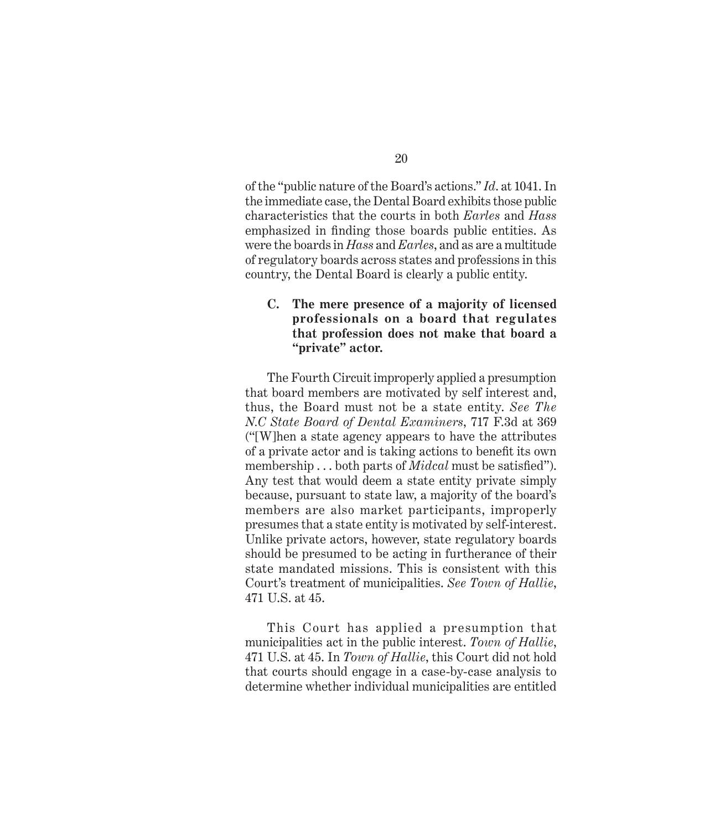of the "public nature of the Board's actions." *Id*. at 1041. In the immediate case, the Dental Board exhibits those public characteristics that the courts in both *Earles* and *Hass* emphasized in finding those boards public entities. As were the boards in *Hass* and *Earles*, and as are a multitude of regulatory boards across states and professions in this country, the Dental Board is clearly a public entity.

#### **C. The mere presence of a majority of licensed professionals on a board that regulates that profession does not make that board a "private" actor.**

The Fourth Circuit improperly applied a presumption that board members are motivated by self interest and, thus, the Board must not be a state entity. *See The N.C State Board of Dental Examiners*, 717 F.3d at 369 ("[W]hen a state agency appears to have the attributes of a private actor and is taking actions to benefit its own membership . . . both parts of *Midcal* must be satisfied"). Any test that would deem a state entity private simply because, pursuant to state law, a majority of the board's members are also market participants, improperly presumes that a state entity is motivated by self-interest. Unlike private actors, however, state regulatory boards should be presumed to be acting in furtherance of their state mandated missions. This is consistent with this Court's treatment of municipalities. *See Town of Hallie*, 471 U.S. at 45.

This Court has applied a presumption that municipalities act in the public interest. *Town of Hallie*, 471 U.S. at 45. In *Town of Hallie*, this Court did not hold that courts should engage in a case-by-case analysis to determine whether individual municipalities are entitled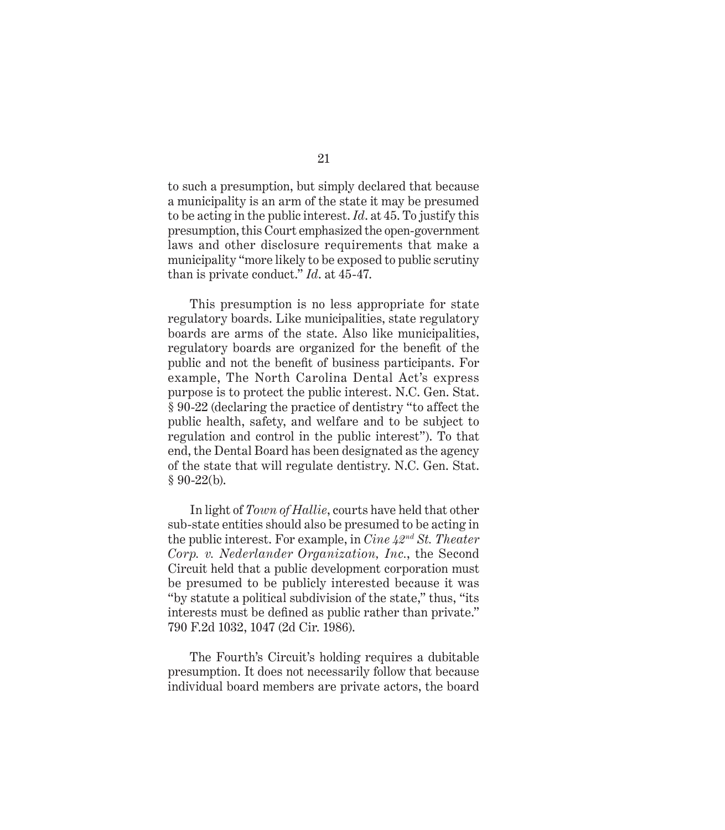to such a presumption, but simply declared that because a municipality is an arm of the state it may be presumed to be acting in the public interest. *Id*. at 45. To justify this presumption, this Court emphasized the open-government laws and other disclosure requirements that make a municipality "more likely to be exposed to public scrutiny than is private conduct." *Id*. at 45-47.

This presumption is no less appropriate for state regulatory boards. Like municipalities, state regulatory boards are arms of the state. Also like municipalities, regulatory boards are organized for the benefit of the public and not the benefit of business participants. For example, The North Carolina Dental Act's express purpose is to protect the public interest. N.C. Gen. Stat. § 90-22 (declaring the practice of dentistry "to affect the public health, safety, and welfare and to be subject to regulation and control in the public interest"). To that end, the Dental Board has been designated as the agency of the state that will regulate dentistry. N.C. Gen. Stat. § 90-22(b).

In light of *Town of Hallie*, courts have held that other sub-state entities should also be presumed to be acting in the public interest. For example, in *Cine 42nd St. Theater Corp. v. Nederlander Organization, Inc.*, the Second Circuit held that a public development corporation must be presumed to be publicly interested because it was "by statute a political subdivision of the state," thus, "its interests must be defined as public rather than private." 790 F.2d 1032, 1047 (2d Cir. 1986).

The Fourth's Circuit's holding requires a dubitable presumption. It does not necessarily follow that because individual board members are private actors, the board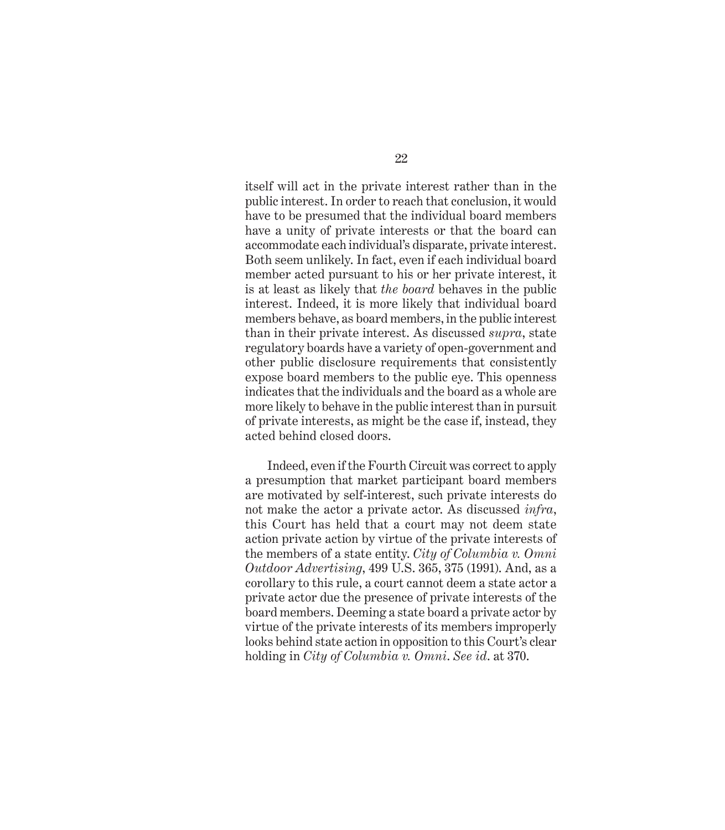itself will act in the private interest rather than in the public interest. In order to reach that conclusion, it would have to be presumed that the individual board members have a unity of private interests or that the board can accommodate each individual's disparate, private interest. Both seem unlikely. In fact, even if each individual board member acted pursuant to his or her private interest, it is at least as likely that *the board* behaves in the public interest. Indeed, it is more likely that individual board members behave, as board members, in the public interest than in their private interest. As discussed *supra*, state regulatory boards have a variety of open-government and other public disclosure requirements that consistently expose board members to the public eye. This openness indicates that the individuals and the board as a whole are more likely to behave in the public interest than in pursuit of private interests, as might be the case if, instead, they acted behind closed doors.

Indeed, even if the Fourth Circuit was correct to apply a presumption that market participant board members are motivated by self-interest, such private interests do not make the actor a private actor. As discussed *infra*, this Court has held that a court may not deem state action private action by virtue of the private interests of the members of a state entity. *City of Columbia v. Omni Outdoor Advertising*, 499 U.S. 365, 375 (1991). And, as a corollary to this rule, a court cannot deem a state actor a private actor due the presence of private interests of the board members. Deeming a state board a private actor by virtue of the private interests of its members improperly looks behind state action in opposition to this Court's clear holding in *City of Columbia v. Omni*. *See id*. at 370.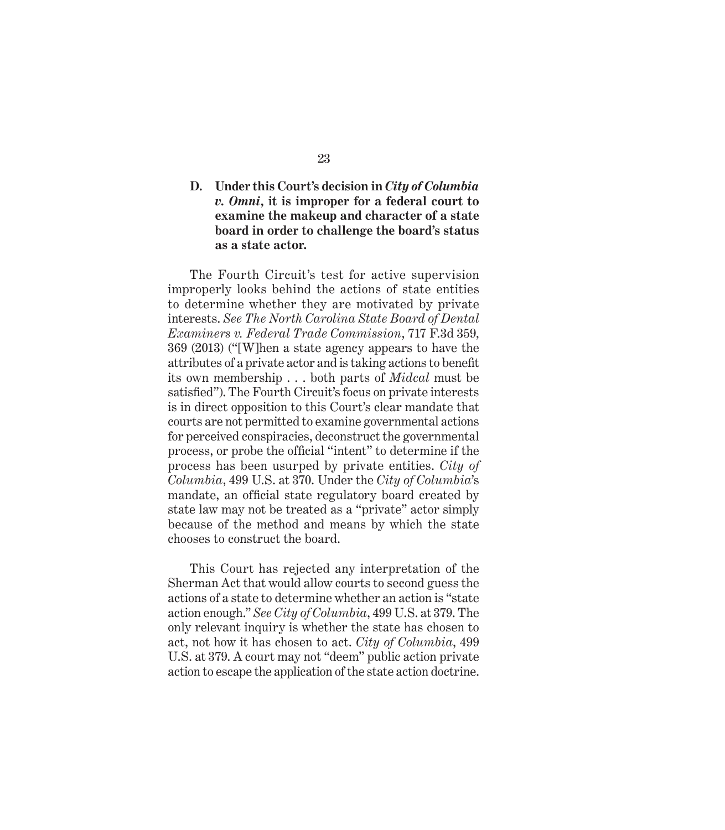#### **D. Under this Court's decision in** *City of Columbia v. Omni***, it is improper for a federal court to examine the makeup and character of a state board in order to challenge the board's status as a state actor.**

The Fourth Circuit's test for active supervision improperly looks behind the actions of state entities to determine whether they are motivated by private interests. *See The North Carolina State Board of Dental Examiners v. Federal Trade Commission*, 717 F.3d 359, 369 (2013) ("[W]hen a state agency appears to have the attributes of a private actor and is taking actions to benefit its own membership . . . both parts of *Midcal* must be satisfied"). The Fourth Circuit's focus on private interests is in direct opposition to this Court's clear mandate that courts are not permitted to examine governmental actions for perceived conspiracies, deconstruct the governmental process, or probe the official "intent" to determine if the process has been usurped by private entities. *City of Columbia*, 499 U.S. at 370. Under the *City of Columbia*'s mandate, an official state regulatory board created by state law may not be treated as a "private" actor simply because of the method and means by which the state chooses to construct the board.

This Court has rejected any interpretation of the Sherman Act that would allow courts to second guess the actions of a state to determine whether an action is "state action enough." *See City of Columbia*, 499 U.S. at 379. The only relevant inquiry is whether the state has chosen to act, not how it has chosen to act. *City of Columbia*, 499 U.S. at 379. A court may not "deem" public action private action to escape the application of the state action doctrine.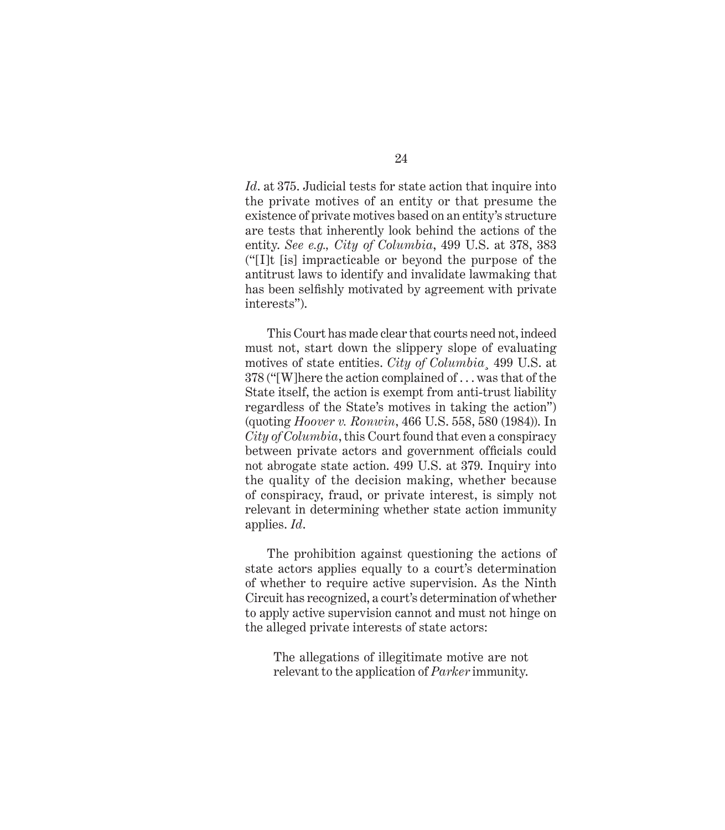*Id*. at 375. Judicial tests for state action that inquire into the private motives of an entity or that presume the existence of private motives based on an entity's structure are tests that inherently look behind the actions of the entity. *See e.g., City of Columbia*, 499 U.S. at 378, 383 ("[I]t [is] impracticable or beyond the purpose of the antitrust laws to identify and invalidate lawmaking that has been selfishly motivated by agreement with private interests").

This Court has made clear that courts need not, indeed must not, start down the slippery slope of evaluating motives of state entities. *City of Columbia*¸ 499 U.S. at 378 ("[W]here the action complained of . . . was that of the State itself, the action is exempt from anti-trust liability regardless of the State's motives in taking the action") (quoting *Hoover v. Ronwin*, 466 U.S. 558, 580 (1984)). In *City of Columbia*, this Court found that even a conspiracy between private actors and government officials could not abrogate state action. 499 U.S. at 379. Inquiry into the quality of the decision making, whether because of conspiracy, fraud, or private interest, is simply not relevant in determining whether state action immunity applies. *Id*.

The prohibition against questioning the actions of state actors applies equally to a court's determination of whether to require active supervision. As the Ninth Circuit has recognized, a court's determination of whether to apply active supervision cannot and must not hinge on the alleged private interests of state actors:

The allegations of illegitimate motive are not relevant to the application of *Parker* immunity.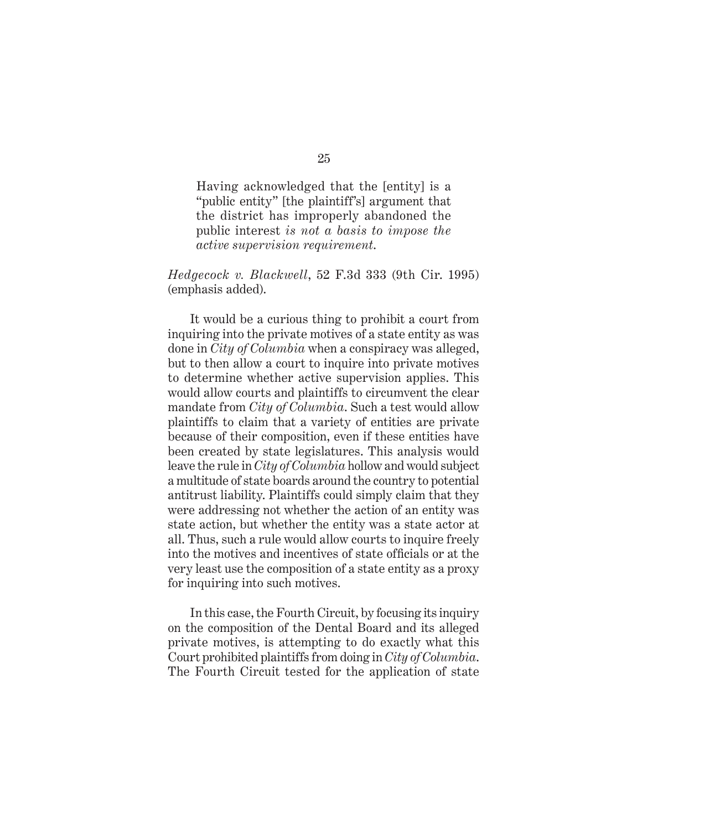Having acknowledged that the [entity] is a "public entity" [the plaintiff's] argument that the district has improperly abandoned the public interest *is not a basis to impose the active supervision requirement*.

#### *Hedgecock v. Blackwell*, 52 F.3d 333 (9th Cir. 1995) (emphasis added).

It would be a curious thing to prohibit a court from inquiring into the private motives of a state entity as was done in *City of Columbia* when a conspiracy was alleged, but to then allow a court to inquire into private motives to determine whether active supervision applies. This would allow courts and plaintiffs to circumvent the clear mandate from *City of Columbia*. Such a test would allow plaintiffs to claim that a variety of entities are private because of their composition, even if these entities have been created by state legislatures. This analysis would leave the rule in *City of Columbia* hollow and would subject a multitude of state boards around the country to potential antitrust liability. Plaintiffs could simply claim that they were addressing not whether the action of an entity was state action, but whether the entity was a state actor at all. Thus, such a rule would allow courts to inquire freely into the motives and incentives of state officials or at the very least use the composition of a state entity as a proxy for inquiring into such motives.

In this case, the Fourth Circuit, by focusing its inquiry on the composition of the Dental Board and its alleged private motives, is attempting to do exactly what this Court prohibited plaintiffs from doing in *City of Columbia*. The Fourth Circuit tested for the application of state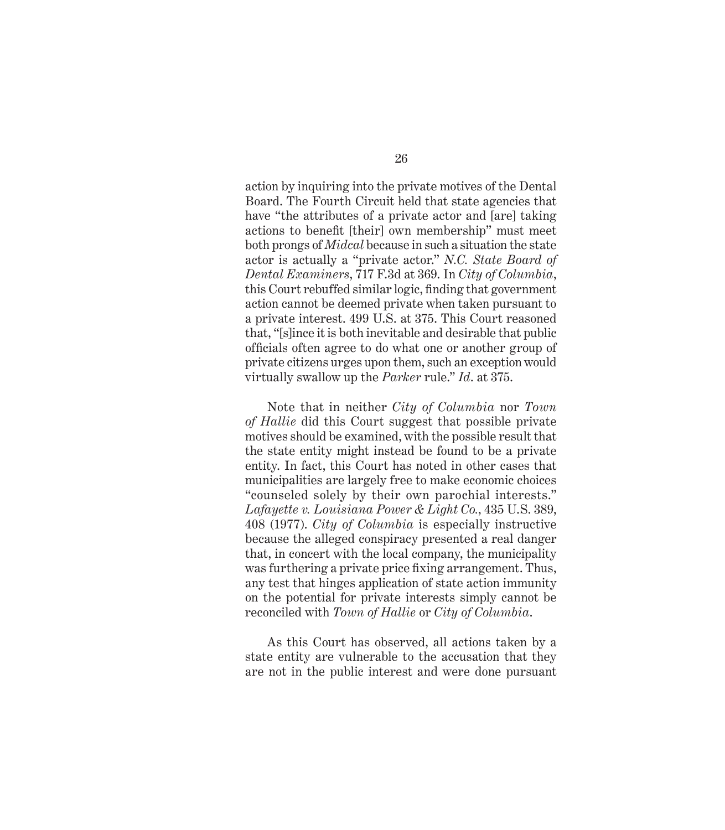action by inquiring into the private motives of the Dental Board. The Fourth Circuit held that state agencies that have "the attributes of a private actor and [are] taking actions to benefit [their] own membership" must meet both prongs of *Midcal* because in such a situation the state actor is actually a "private actor." *N.C. State Board of Dental Examiners*, 717 F.3d at 369. In *City of Columbia*, this Court rebuffed similar logic, finding that government action cannot be deemed private when taken pursuant to a private interest. 499 U.S. at 375. This Court reasoned that, "[s]ince it is both inevitable and desirable that public officials often agree to do what one or another group of private citizens urges upon them, such an exception would virtually swallow up the *Parker* rule." *Id*. at 375.

Note that in neither *City of Columbia* nor *Town of Hallie* did this Court suggest that possible private motives should be examined, with the possible result that the state entity might instead be found to be a private entity. In fact, this Court has noted in other cases that municipalities are largely free to make economic choices "counseled solely by their own parochial interests." *Lafayette v. Louisiana Power & Light Co.*, 435 U.S. 389, 408 (1977). *City of Columbia* is especially instructive because the alleged conspiracy presented a real danger that, in concert with the local company, the municipality was furthering a private price fixing arrangement. Thus, any test that hinges application of state action immunity on the potential for private interests simply cannot be reconciled with *Town of Hallie* or *City of Columbia*.

As this Court has observed, all actions taken by a state entity are vulnerable to the accusation that they are not in the public interest and were done pursuant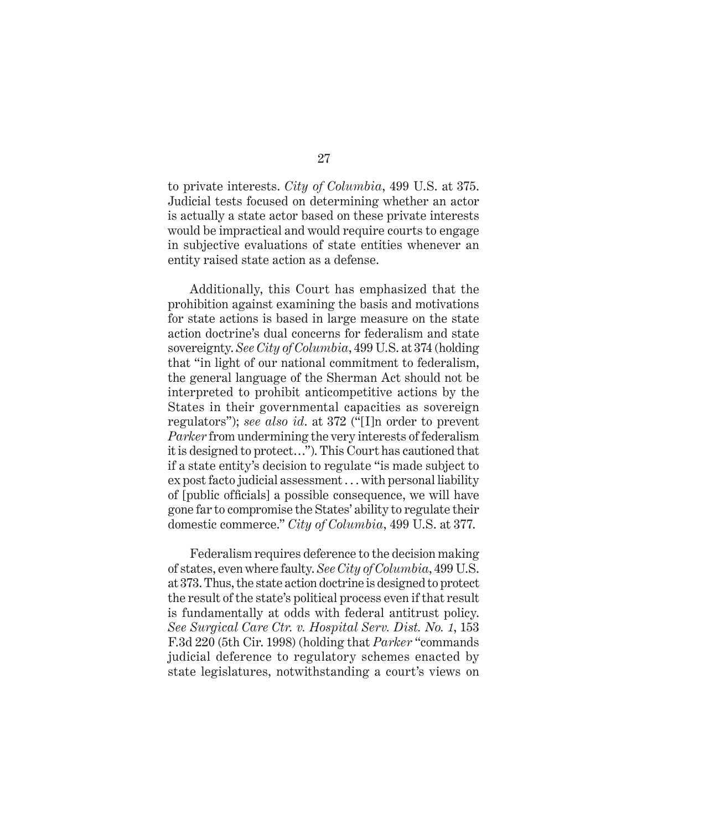to private interests. *City of Columbia*, 499 U.S. at 375. Judicial tests focused on determining whether an actor is actually a state actor based on these private interests would be impractical and would require courts to engage in subjective evaluations of state entities whenever an entity raised state action as a defense.

Additionally, this Court has emphasized that the prohibition against examining the basis and motivations for state actions is based in large measure on the state action doctrine's dual concerns for federalism and state sovereignty. *See City of Columbia*, 499 U.S. at 374 (holding that "in light of our national commitment to federalism, the general language of the Sherman Act should not be interpreted to prohibit anticompetitive actions by the States in their governmental capacities as sovereign regulators"); *see also id*. at 372 ("[I]n order to prevent *Parker* from undermining the very interests of federalism it is designed to protect…"). This Court has cautioned that if a state entity's decision to regulate "is made subject to ex post facto judicial assessment . . . with personal liability of [public officials] a possible consequence, we will have gone far to compromise the States' ability to regulate their domestic commerce." *City of Columbia*, 499 U.S. at 377.

Federalism requires deference to the decision making of states, even where faulty. *See City of Columbia*, 499 U.S. at 373. Thus, the state action doctrine is designed to protect the result of the state's political process even if that result is fundamentally at odds with federal antitrust policy. *See Surgical Care Ctr. v. Hospital Serv. Dist. No. 1*, 153 F.3d 220 (5th Cir. 1998) (holding that *Parker* "commands judicial deference to regulatory schemes enacted by state legislatures, notwithstanding a court's views on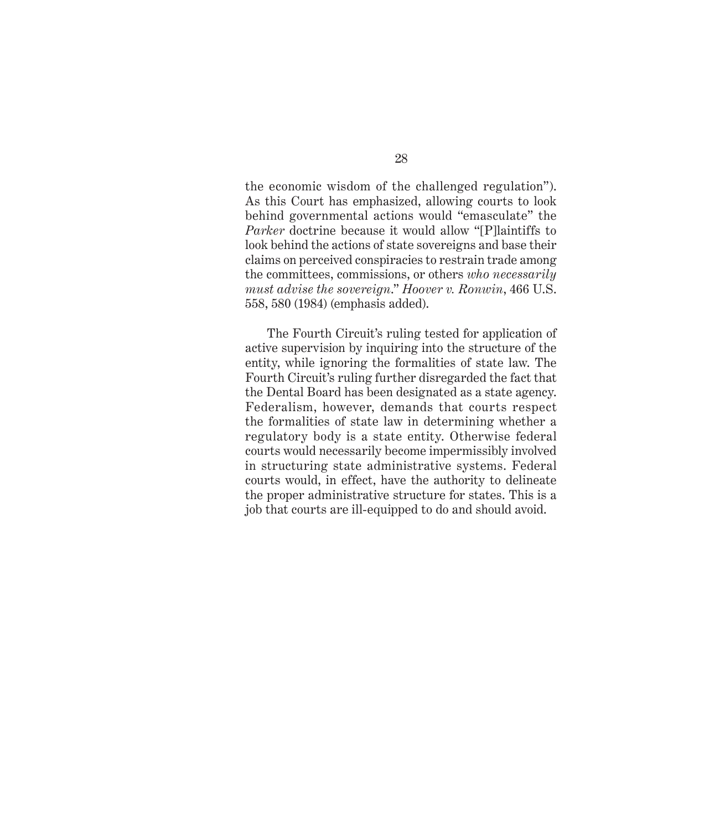the economic wisdom of the challenged regulation"). As this Court has emphasized, allowing courts to look behind governmental actions would "emasculate" the *Parker* doctrine because it would allow "[P]laintiffs to look behind the actions of state sovereigns and base their claims on perceived conspiracies to restrain trade among the committees, commissions, or others *who necessarily must advise the sovereign*." *Hoover v. Ronwin*, 466 U.S. 558, 580 (1984) (emphasis added).

The Fourth Circuit's ruling tested for application of active supervision by inquiring into the structure of the entity, while ignoring the formalities of state law. The Fourth Circuit's ruling further disregarded the fact that the Dental Board has been designated as a state agency. Federalism, however, demands that courts respect the formalities of state law in determining whether a regulatory body is a state entity. Otherwise federal courts would necessarily become impermissibly involved in structuring state administrative systems. Federal courts would, in effect, have the authority to delineate the proper administrative structure for states. This is a job that courts are ill-equipped to do and should avoid.